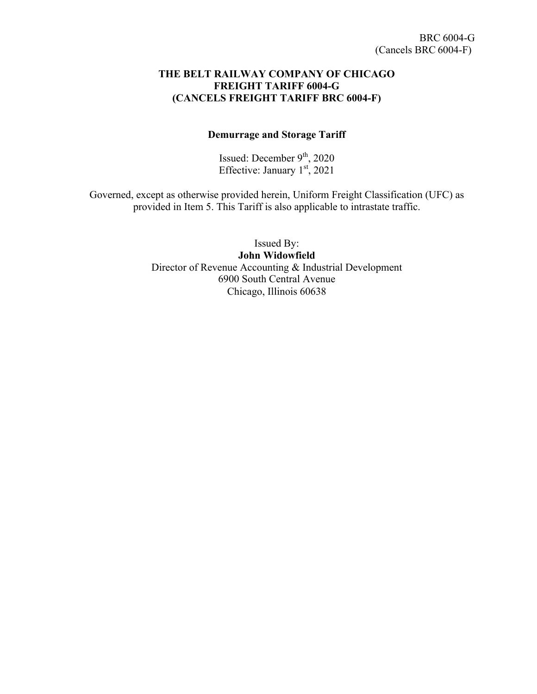#### **THE BELT RAILWAY COMPANY OF CHICAGO FREIGHT TARIFF 6004-G (CANCELS FREIGHT TARIFF BRC 6004-F)**

#### **Demurrage and Storage Tariff**

Issued: December  $9<sup>th</sup>$ , 2020 Effective: January  $1<sup>st</sup>$ , 2021

Governed, except as otherwise provided herein, Uniform Freight Classification (UFC) as provided in Item 5. This Tariff is also applicable to intrastate traffic.

> Issued By: **John Widowfield** Director of Revenue Accounting & Industrial Development 6900 South Central Avenue Chicago, Illinois 60638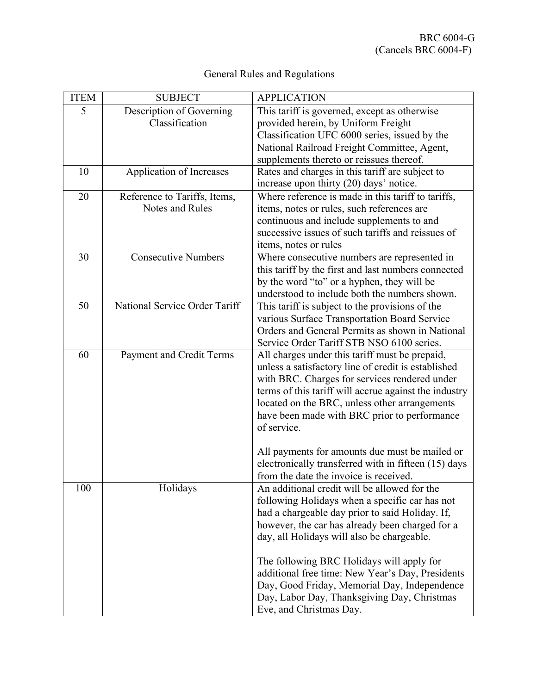| General Rules and Regulations |  |
|-------------------------------|--|
|-------------------------------|--|

| <b>ITEM</b> | <b>SUBJECT</b>                                  | <b>APPLICATION</b>                                                                                                                                                                                                                                                                                                                                                                                                                                                            |
|-------------|-------------------------------------------------|-------------------------------------------------------------------------------------------------------------------------------------------------------------------------------------------------------------------------------------------------------------------------------------------------------------------------------------------------------------------------------------------------------------------------------------------------------------------------------|
| 5           | Description of Governing<br>Classification      | This tariff is governed, except as otherwise<br>provided herein, by Uniform Freight<br>Classification UFC 6000 series, issued by the<br>National Railroad Freight Committee, Agent,<br>supplements thereto or reissues thereof.                                                                                                                                                                                                                                               |
| 10          | Application of Increases                        | Rates and charges in this tariff are subject to<br>increase upon thirty (20) days' notice.                                                                                                                                                                                                                                                                                                                                                                                    |
| 20          | Reference to Tariffs, Items,<br>Notes and Rules | Where reference is made in this tariff to tariffs,<br>items, notes or rules, such references are<br>continuous and include supplements to and<br>successive issues of such tariffs and reissues of<br>items, notes or rules                                                                                                                                                                                                                                                   |
| 30          | <b>Consecutive Numbers</b>                      | Where consecutive numbers are represented in<br>this tariff by the first and last numbers connected<br>by the word "to" or a hyphen, they will be<br>understood to include both the numbers shown.                                                                                                                                                                                                                                                                            |
| 50          | National Service Order Tariff                   | This tariff is subject to the provisions of the<br>various Surface Transportation Board Service<br>Orders and General Permits as shown in National<br>Service Order Tariff STB NSO 6100 series.                                                                                                                                                                                                                                                                               |
| 60          | Payment and Credit Terms                        | All charges under this tariff must be prepaid,<br>unless a satisfactory line of credit is established<br>with BRC. Charges for services rendered under<br>terms of this tariff will accrue against the industry<br>located on the BRC, unless other arrangements<br>have been made with BRC prior to performance<br>of service.<br>All payments for amounts due must be mailed or                                                                                             |
|             |                                                 | electronically transferred with in fifteen (15) days<br>from the date the invoice is received.                                                                                                                                                                                                                                                                                                                                                                                |
| 100         | Holidays                                        | An additional credit will be allowed for the<br>following Holidays when a specific car has not<br>had a chargeable day prior to said Holiday. If,<br>however, the car has already been charged for a<br>day, all Holidays will also be chargeable.<br>The following BRC Holidays will apply for<br>additional free time: New Year's Day, Presidents<br>Day, Good Friday, Memorial Day, Independence<br>Day, Labor Day, Thanksgiving Day, Christmas<br>Eve, and Christmas Day. |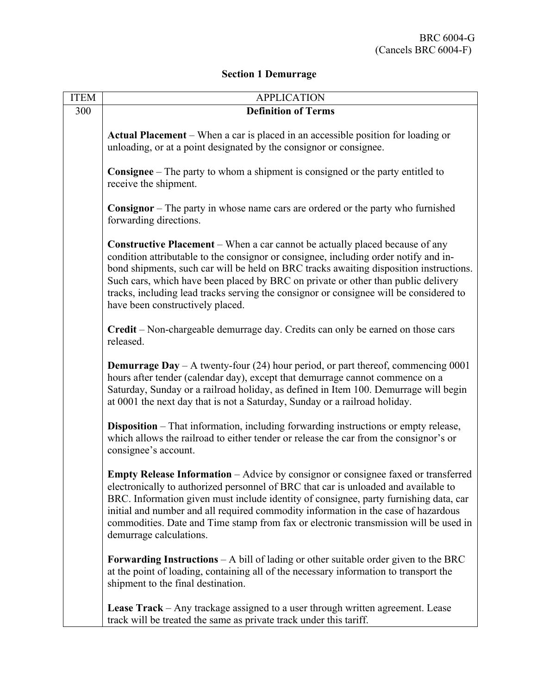## **Section 1 Demurrage**

| <b>ITEM</b> | <b>APPLICATION</b>                                                                                                                                                                                                                                                                                                                                                                                                                                                                       |
|-------------|------------------------------------------------------------------------------------------------------------------------------------------------------------------------------------------------------------------------------------------------------------------------------------------------------------------------------------------------------------------------------------------------------------------------------------------------------------------------------------------|
| 300         | <b>Definition of Terms</b>                                                                                                                                                                                                                                                                                                                                                                                                                                                               |
|             | Actual Placement – When a car is placed in an accessible position for loading or<br>unloading, or at a point designated by the consignor or consignee.                                                                                                                                                                                                                                                                                                                                   |
|             | <b>Consignee</b> – The party to whom a shipment is consigned or the party entitled to<br>receive the shipment.                                                                                                                                                                                                                                                                                                                                                                           |
|             | <b>Consignor</b> – The party in whose name cars are ordered or the party who furnished<br>forwarding directions.                                                                                                                                                                                                                                                                                                                                                                         |
|             | <b>Constructive Placement</b> – When a car cannot be actually placed because of any<br>condition attributable to the consignor or consignee, including order notify and in-<br>bond shipments, such car will be held on BRC tracks awaiting disposition instructions.<br>Such cars, which have been placed by BRC on private or other than public delivery<br>tracks, including lead tracks serving the consignor or consignee will be considered to<br>have been constructively placed. |
|             | Credit - Non-chargeable demurrage day. Credits can only be earned on those cars<br>released.                                                                                                                                                                                                                                                                                                                                                                                             |
|             | <b>Demurrage Day</b> – A twenty-four (24) hour period, or part thereof, commencing $0001$<br>hours after tender (calendar day), except that demurrage cannot commence on a<br>Saturday, Sunday or a railroad holiday, as defined in Item 100. Demurrage will begin<br>at 0001 the next day that is not a Saturday, Sunday or a railroad holiday.                                                                                                                                         |
|             | Disposition - That information, including forwarding instructions or empty release,<br>which allows the railroad to either tender or release the car from the consignor's or<br>consignee's account.                                                                                                                                                                                                                                                                                     |
|             | Empty Release Information - Advice by consignor or consignee faxed or transferred<br>electronically to authorized personnel of BRC that car is unloaded and available to<br>BRC. Information given must include identity of consignee, party furnishing data, car<br>initial and number and all required commodity information in the case of hazardous<br>commodities. Date and Time stamp from fax or electronic transmission will be used in<br>demurrage calculations.               |
|             | <b>Forwarding Instructions</b> $- A$ bill of lading or other suitable order given to the BRC<br>at the point of loading, containing all of the necessary information to transport the<br>shipment to the final destination.                                                                                                                                                                                                                                                              |
|             | <b>Lease Track</b> – Any trackage assigned to a user through written agreement. Lease<br>track will be treated the same as private track under this tariff.                                                                                                                                                                                                                                                                                                                              |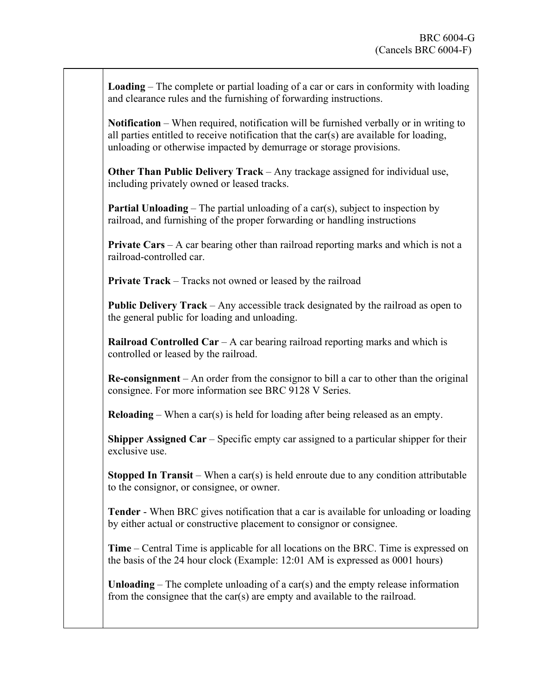**Loading** – The complete or partial loading of a car or cars in conformity with loading and clearance rules and the furnishing of forwarding instructions.

**Notification** – When required, notification will be furnished verbally or in writing to all parties entitled to receive notification that the car(s) are available for loading, unloading or otherwise impacted by demurrage or storage provisions.

**Other Than Public Delivery Track – Any trackage assigned for individual use,** including privately owned or leased tracks.

**Partial Unloading – The partial unloading of a car(s), subject to inspection by** railroad, and furnishing of the proper forwarding or handling instructions

**Private Cars** – A car bearing other than railroad reporting marks and which is not a railroad-controlled car.

**Private Track – Tracks not owned or leased by the railroad** 

**Public Delivery Track** – Any accessible track designated by the railroad as open to the general public for loading and unloading.

**Railroad Controlled Car** – A car bearing railroad reporting marks and which is controlled or leased by the railroad.

**Re-consignment** – An order from the consignor to bill a car to other than the original consignee. For more information see BRC 9128 V Series.

**Reloading** – When a car(s) is held for loading after being released as an empty.

**Shipper Assigned Car** – Specific empty car assigned to a particular shipper for their exclusive use.

**Stopped In Transit** – When a car(s) is held enroute due to any condition attributable to the consignor, or consignee, or owner.

**Tender** - When BRC gives notification that a car is available for unloading or loading by either actual or constructive placement to consignor or consignee.

**Time** – Central Time is applicable for all locations on the BRC. Time is expressed on the basis of the 24 hour clock (Example: 12:01 AM is expressed as 0001 hours)

**Unloading** – The complete unloading of a car(s) and the empty release information from the consignee that the car(s) are empty and available to the railroad.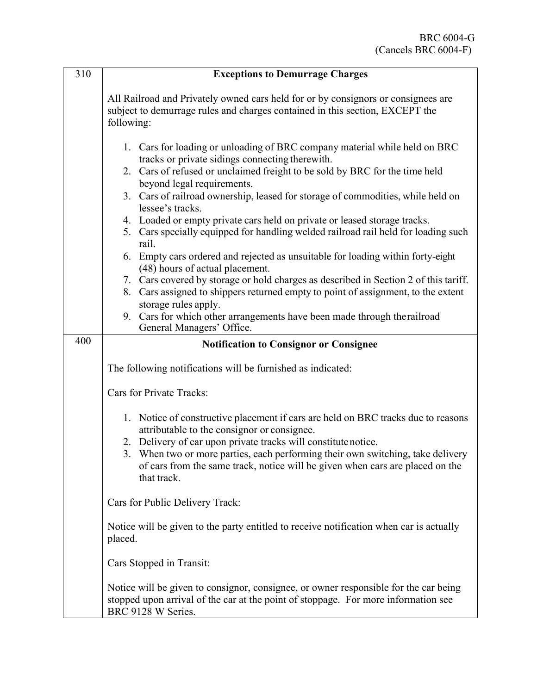| 310 | <b>Exceptions to Demurrage Charges</b>                                                                                                                                                                                                                                                                                                                                                                                                                                                                                                                                                                                                                                                                                                                                                                                                                   |
|-----|----------------------------------------------------------------------------------------------------------------------------------------------------------------------------------------------------------------------------------------------------------------------------------------------------------------------------------------------------------------------------------------------------------------------------------------------------------------------------------------------------------------------------------------------------------------------------------------------------------------------------------------------------------------------------------------------------------------------------------------------------------------------------------------------------------------------------------------------------------|
|     | All Railroad and Privately owned cars held for or by consignors or consignees are<br>subject to demurrage rules and charges contained in this section, EXCEPT the<br>following:                                                                                                                                                                                                                                                                                                                                                                                                                                                                                                                                                                                                                                                                          |
|     | 1. Cars for loading or unloading of BRC company material while held on BRC<br>tracks or private sidings connecting therewith.<br>2. Cars of refused or unclaimed freight to be sold by BRC for the time held<br>beyond legal requirements.<br>3. Cars of railroad ownership, leased for storage of commodities, while held on<br>lessee's tracks.<br>4. Loaded or empty private cars held on private or leased storage tracks.<br>5. Cars specially equipped for handling welded railroad rail held for loading such<br>rail.<br>6. Empty cars ordered and rejected as unsuitable for loading within forty-eight<br>(48) hours of actual placement.<br>7. Cars covered by storage or hold charges as described in Section 2 of this tariff.<br>8. Cars assigned to shippers returned empty to point of assignment, to the extent<br>storage rules apply. |
|     | 9. Cars for which other arrangements have been made through therailroad<br>General Managers' Office.                                                                                                                                                                                                                                                                                                                                                                                                                                                                                                                                                                                                                                                                                                                                                     |
| 400 | <b>Notification to Consignor or Consignee</b>                                                                                                                                                                                                                                                                                                                                                                                                                                                                                                                                                                                                                                                                                                                                                                                                            |
|     | The following notifications will be furnished as indicated:                                                                                                                                                                                                                                                                                                                                                                                                                                                                                                                                                                                                                                                                                                                                                                                              |
|     | Cars for Private Tracks:                                                                                                                                                                                                                                                                                                                                                                                                                                                                                                                                                                                                                                                                                                                                                                                                                                 |
|     | 1. Notice of constructive placement if cars are held on BRC tracks due to reasons<br>attributable to the consignor or consignee.<br>2. Delivery of car upon private tracks will constitute notice.<br>3. When two or more parties, each performing their own switching, take delivery<br>of cars from the same track, notice will be given when cars are placed on the<br>that track.                                                                                                                                                                                                                                                                                                                                                                                                                                                                    |
|     | Cars for Public Delivery Track:                                                                                                                                                                                                                                                                                                                                                                                                                                                                                                                                                                                                                                                                                                                                                                                                                          |
|     | Notice will be given to the party entitled to receive notification when car is actually<br>placed.                                                                                                                                                                                                                                                                                                                                                                                                                                                                                                                                                                                                                                                                                                                                                       |
|     | Cars Stopped in Transit:                                                                                                                                                                                                                                                                                                                                                                                                                                                                                                                                                                                                                                                                                                                                                                                                                                 |
|     | Notice will be given to consignor, consignee, or owner responsible for the car being<br>stopped upon arrival of the car at the point of stoppage. For more information see<br>BRC 9128 W Series.                                                                                                                                                                                                                                                                                                                                                                                                                                                                                                                                                                                                                                                         |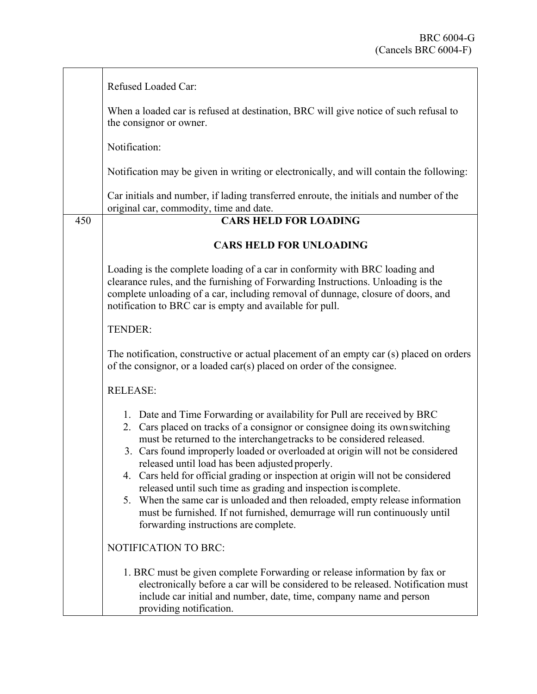|     | Refused Loaded Car:                                                                                                                                                                                                                                                                                                                                                                                                                                                                                                                                                                                                                                                                                                                  |
|-----|--------------------------------------------------------------------------------------------------------------------------------------------------------------------------------------------------------------------------------------------------------------------------------------------------------------------------------------------------------------------------------------------------------------------------------------------------------------------------------------------------------------------------------------------------------------------------------------------------------------------------------------------------------------------------------------------------------------------------------------|
|     | When a loaded car is refused at destination, BRC will give notice of such refusal to<br>the consignor or owner.                                                                                                                                                                                                                                                                                                                                                                                                                                                                                                                                                                                                                      |
|     | Notification:                                                                                                                                                                                                                                                                                                                                                                                                                                                                                                                                                                                                                                                                                                                        |
|     | Notification may be given in writing or electronically, and will contain the following:                                                                                                                                                                                                                                                                                                                                                                                                                                                                                                                                                                                                                                              |
|     | Car initials and number, if lading transferred enroute, the initials and number of the<br>original car, commodity, time and date.                                                                                                                                                                                                                                                                                                                                                                                                                                                                                                                                                                                                    |
| 450 | <b>CARS HELD FOR LOADING</b>                                                                                                                                                                                                                                                                                                                                                                                                                                                                                                                                                                                                                                                                                                         |
|     | <b>CARS HELD FOR UNLOADING</b>                                                                                                                                                                                                                                                                                                                                                                                                                                                                                                                                                                                                                                                                                                       |
|     | Loading is the complete loading of a car in conformity with BRC loading and<br>clearance rules, and the furnishing of Forwarding Instructions. Unloading is the<br>complete unloading of a car, including removal of dunnage, closure of doors, and<br>notification to BRC car is empty and available for pull.                                                                                                                                                                                                                                                                                                                                                                                                                      |
|     | TENDER:                                                                                                                                                                                                                                                                                                                                                                                                                                                                                                                                                                                                                                                                                                                              |
|     | The notification, constructive or actual placement of an empty car (s) placed on orders<br>of the consignor, or a loaded car(s) placed on order of the consignee.                                                                                                                                                                                                                                                                                                                                                                                                                                                                                                                                                                    |
|     | <b>RELEASE:</b>                                                                                                                                                                                                                                                                                                                                                                                                                                                                                                                                                                                                                                                                                                                      |
|     | 1. Date and Time Forwarding or availability for Pull are received by BRC<br>2. Cars placed on tracks of a consignor or consignee doing its own switching<br>must be returned to the interchangetracks to be considered released.<br>3. Cars found improperly loaded or overloaded at origin will not be considered<br>released until load has been adjusted properly.<br>4. Cars held for official grading or inspection at origin will not be considered<br>released until such time as grading and inspection is complete.<br>5. When the same car is unloaded and then reloaded, empty release information<br>must be furnished. If not furnished, demurrage will run continuously until<br>forwarding instructions are complete. |
|     | NOTIFICATION TO BRC:                                                                                                                                                                                                                                                                                                                                                                                                                                                                                                                                                                                                                                                                                                                 |
|     | 1. BRC must be given complete Forwarding or release information by fax or<br>electronically before a car will be considered to be released. Notification must<br>include car initial and number, date, time, company name and person<br>providing notification.                                                                                                                                                                                                                                                                                                                                                                                                                                                                      |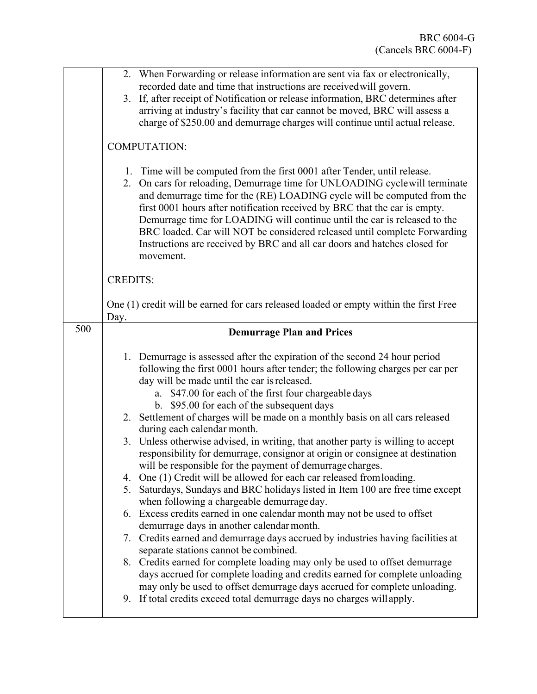|     | 2. When Forwarding or release information are sent via fax or electronically,<br>recorded date and time that instructions are received will govern.<br>3. If, after receipt of Notification or release information, BRC determines after<br>arriving at industry's facility that car cannot be moved, BRC will assess a<br>charge of \$250.00 and demurrage charges will continue until actual release.                                                                                                                                                                                                                                                                                                                                                                                                                                                                                                                                                                                                                                                                                                                                                                                                                                                                                                                                                                                                                                                 |
|-----|---------------------------------------------------------------------------------------------------------------------------------------------------------------------------------------------------------------------------------------------------------------------------------------------------------------------------------------------------------------------------------------------------------------------------------------------------------------------------------------------------------------------------------------------------------------------------------------------------------------------------------------------------------------------------------------------------------------------------------------------------------------------------------------------------------------------------------------------------------------------------------------------------------------------------------------------------------------------------------------------------------------------------------------------------------------------------------------------------------------------------------------------------------------------------------------------------------------------------------------------------------------------------------------------------------------------------------------------------------------------------------------------------------------------------------------------------------|
|     | <b>COMPUTATION:</b>                                                                                                                                                                                                                                                                                                                                                                                                                                                                                                                                                                                                                                                                                                                                                                                                                                                                                                                                                                                                                                                                                                                                                                                                                                                                                                                                                                                                                                     |
|     | 1. Time will be computed from the first 0001 after Tender, until release.<br>2. On cars for reloading, Demurrage time for UNLOADING cyclewill terminate<br>and demurrage time for the (RE) LOADING cycle will be computed from the<br>first 0001 hours after notification received by BRC that the car is empty.<br>Demurrage time for LOADING will continue until the car is released to the<br>BRC loaded. Car will NOT be considered released until complete Forwarding<br>Instructions are received by BRC and all car doors and hatches closed for<br>movement.                                                                                                                                                                                                                                                                                                                                                                                                                                                                                                                                                                                                                                                                                                                                                                                                                                                                                    |
|     | <b>CREDITS:</b>                                                                                                                                                                                                                                                                                                                                                                                                                                                                                                                                                                                                                                                                                                                                                                                                                                                                                                                                                                                                                                                                                                                                                                                                                                                                                                                                                                                                                                         |
|     | One (1) credit will be earned for cars released loaded or empty within the first Free<br>Day.                                                                                                                                                                                                                                                                                                                                                                                                                                                                                                                                                                                                                                                                                                                                                                                                                                                                                                                                                                                                                                                                                                                                                                                                                                                                                                                                                           |
| 500 | <b>Demurrage Plan and Prices</b>                                                                                                                                                                                                                                                                                                                                                                                                                                                                                                                                                                                                                                                                                                                                                                                                                                                                                                                                                                                                                                                                                                                                                                                                                                                                                                                                                                                                                        |
|     | 1. Demurrage is assessed after the expiration of the second 24 hour period<br>following the first 0001 hours after tender; the following charges per car per<br>day will be made until the car is released.<br>a. \$47.00 for each of the first four chargeable days<br>b. \$95.00 for each of the subsequent days<br>2. Settlement of charges will be made on a monthly basis on all cars released<br>during each calendar month.<br>3. Unless otherwise advised, in writing, that another party is willing to accept<br>responsibility for demurrage, consignor at origin or consignee at destination<br>will be responsible for the payment of demurrage charges.<br>4. One (1) Credit will be allowed for each car released from loading.<br>5. Saturdays, Sundays and BRC holidays listed in Item 100 are free time except<br>when following a chargeable demurrage day.<br>6. Excess credits earned in one calendar month may not be used to offset<br>demurrage days in another calendar month.<br>7. Credits earned and demurrage days accrued by industries having facilities at<br>separate stations cannot be combined.<br>8. Credits earned for complete loading may only be used to offset demurrage<br>days accrued for complete loading and credits earned for complete unloading<br>may only be used to offset demurrage days accrued for complete unloading.<br>9. If total credits exceed total demurrage days no charges will apply. |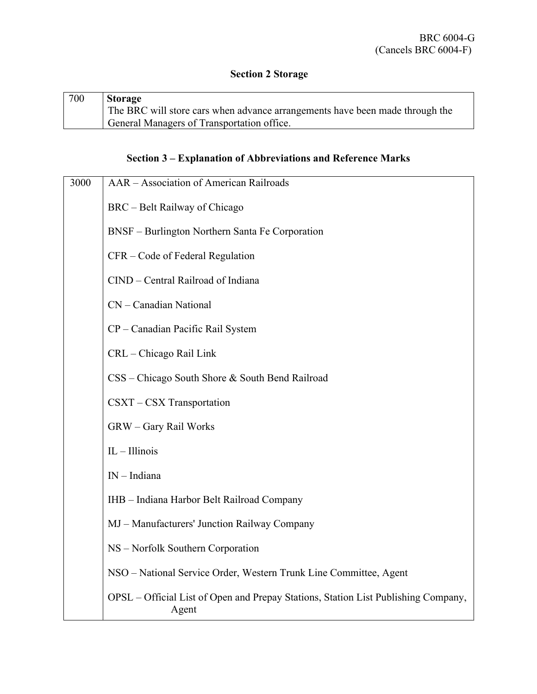## **Section 2 Storage**

| 700 | Storage                                                                      |
|-----|------------------------------------------------------------------------------|
|     | The BRC will store cars when advance arrangements have been made through the |
|     | General Managers of Transportation office.                                   |

# **Section 3 – Explanation of Abbreviations and Reference Marks**

| 3000 | AAR - Association of American Railroads                                                     |
|------|---------------------------------------------------------------------------------------------|
|      | BRC - Belt Railway of Chicago                                                               |
|      | BNSF - Burlington Northern Santa Fe Corporation                                             |
|      | CFR - Code of Federal Regulation                                                            |
|      | CIND - Central Railroad of Indiana                                                          |
|      | CN - Canadian National                                                                      |
|      | CP - Canadian Pacific Rail System                                                           |
|      | CRL - Chicago Rail Link                                                                     |
|      | CSS – Chicago South Shore & South Bend Railroad                                             |
|      | CSXT - CSX Transportation                                                                   |
|      | GRW - Gary Rail Works                                                                       |
|      | $IL - Illinois$                                                                             |
|      | $IN$ – Indiana                                                                              |
|      | IHB - Indiana Harbor Belt Railroad Company                                                  |
|      | MJ – Manufacturers' Junction Railway Company                                                |
|      | NS - Norfolk Southern Corporation                                                           |
|      | NSO - National Service Order, Western Trunk Line Committee, Agent                           |
|      | OPSL – Official List of Open and Prepay Stations, Station List Publishing Company,<br>Agent |